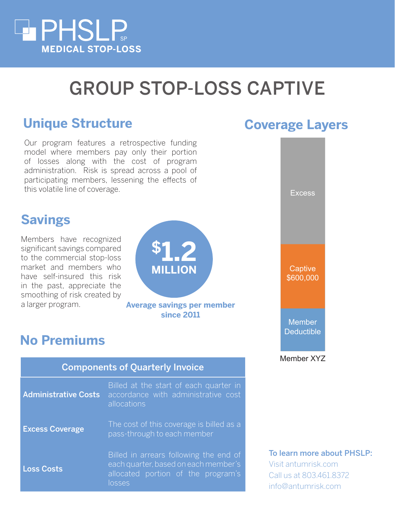

## GROUP STOP-LOSS CAPTIVE

### **Unique Structure Coverage Layers**

Our program features a retrospective funding model where members pay only their portion of losses along with the cost of program administration. Risk is spread across a pool of participating members, lessening the effects of this volatile line of coverage.

#### **Savings**

Members have recognized significant savings compared to the commercial stop-loss market and members who have self-insured this risk in the past, appreciate the smoothing of risk created by a larger program.

# **\$1.2 MILLION**

**Average savings per member since 2011**

### **No Premiums**

| <b>Components of Quarterly Invoice</b> |                                                                                                                                |
|----------------------------------------|--------------------------------------------------------------------------------------------------------------------------------|
| <b>Administrative Costs</b>            | Billed at the start of each quarter in<br>accordance with administrative cost<br>allocations                                   |
| <b>Excess Coverage</b>                 | The cost of this coverage is billed as a<br>pass-through to each member                                                        |
| <b>Loss Costs</b>                      | Billed in arrears following the end of<br>each quarter, based on each member's<br>allocated portion of the program's<br>losses |



#### To learn more about PHSLP:

Visit antumrisk.com Call us at 803.461.8372 info@antumrisk.com